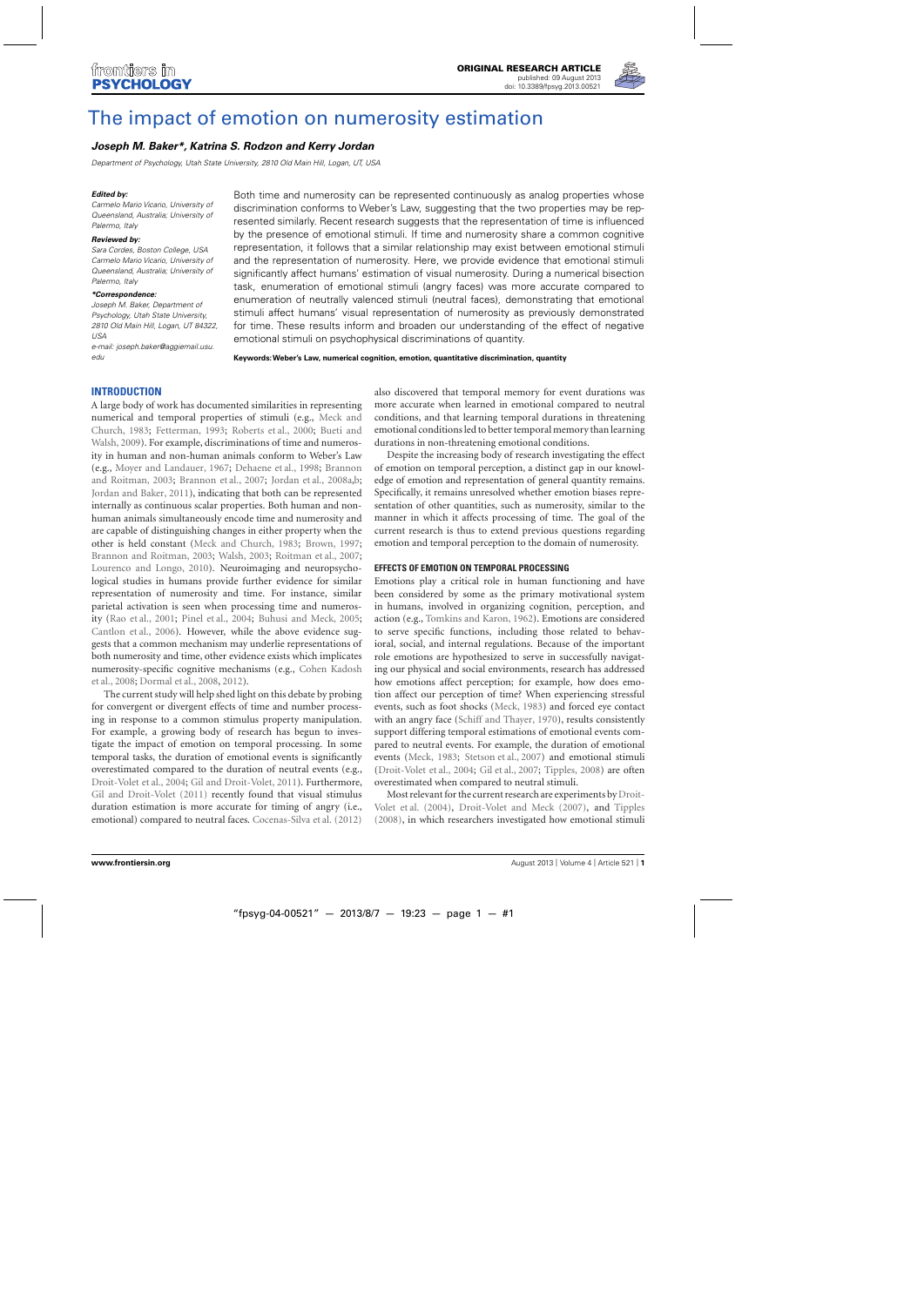

# [The impact of emotion on numerosity estimation](http://www.frontiersin.org/Cognition/10.3389/fpsyg.2013.00521/abstract)

# *[Joseph M. Baker\\*](http://www.frontiersin.org/Community/WhosWhoActivity.aspx?sname=JosephBaker&UID=63376), [Ka](http://www.frontiersin.org/Community/WhosWhoActivity.aspx?sname=KatrinaRodzon&UID=68052)trina S. Rodzon and [Kerry Jordan](http://www.frontiersin.org/Community/WhosWhoActivity.aspx?sname=KerryJordan&UID=53280)*

Department of Psychology, Utah State University, 2810 Old Main Hill, Logan, UT, USA

### *Edited by:*

Carmelo Mario Vicario, University of Queensland, Australia; University of Palermo, Italy

### *Reviewed by:*

Sara Cordes, Boston College, USA Carmelo Mario Vicario, University of Queensland, Australia; University of Palermo, Italy

#### *\*Correspondence:*

Joseph M. Baker, Department of Psychology, Utah State University, 2810 Old Main Hill, Logan, UT 84322, USA

e-mail: [joseph.baker@aggiemail.usu.](mailto:joseph.baker@aggiemail.usu.edu) [edu](mailto:joseph.baker@aggiemail.usu.edu)

Both time and numerosity can be represented continuously as analog properties whose discrimination conforms to Weber's Law, suggesting that the two properties may be represented similarly. Recent research suggests that the representation of time is influenced by the presence of emotional stimuli. If time and numerosity share a common cognitive representation, it follows that a similar relationship may exist between emotional stimuli and the representation of numerosity. Here, we provide evidence that emotional stimuli significantly affect humans' estimation of visual numerosity. During a numerical bisection task, enumeration of emotional stimuli (angry faces) was more accurate compared to enumeration of neutrally valenced stimuli (neutral faces), demonstrating that emotional stimuli affect humans' visual representation of numerosity as previously demonstrated for time. These results inform and broaden our understanding of the effect of negative emotional stimuli on psychophysical discriminations of quantity.

**Keywords:Weber's Law, numerical cognition, emotion, quantitative discrimination, quantity**

# **INTRODUCTION**

A large body of work has documented similarities in representing numeri[cal and temporal properties of stimuli \(e.g.,](#page-6-0) Meck and Church, [1983;](#page-6-0) [Fetterman](#page-6-0), [1993](#page-6-0); [Roberts et al.](#page-6-0)[,](#page-5-0) [2000;](#page-6-0) Bueti and Walsh, [2009](#page-5-0)). For example, discriminations of time and numerosity in human and non-human animals conform to Weber's Law (e.g., [Moyer and Landauer, 1967](#page-6-0); [Dehaene et al., 1998;](#page-5-0) Brannon and Roitman, [2003;](#page-5-0) [Brannon et al., 2007](#page-5-0); [Jordan et al.](#page-6-0), [2008a,b;](#page-6-0) [Jordan and Baker, 2011](#page-6-0)), indicating that both can be represented internally as continuous scalar properties. Both human and nonhuman animals simultaneously encode time and numerosity and are capable of distinguishing changes in either property when the other is held constant [\(Meck and Church](#page-6-0), [1983;](#page-6-0) [Brown, 1997;](#page-5-0) [Brannon and Roitman, 2003;](#page-5-0) [Walsh](#page-7-0), [2003](#page-7-0); [Roitman et al., 2007;](#page-6-0) [Lourenco and Longo](#page-6-0), [2010](#page-6-0)). Neuroimaging and neuropsychological studies in humans provide further evidence for similar representation of numerosity and time. For instance, similar parietal activation is seen when processing time and numerosity [\(Rao et al., 2001](#page-6-0); [Pinel et al., 2004](#page-6-0); [Buhusi and Meck](#page-5-0), [2005;](#page-5-0) [Cantlon et al., 2006\)](#page-5-0). However, while the above evidence suggests that a common mechanism may underlie representations of both numerosity and time, other evidence exists which implicates nu[merosity-specific](#page-5-0) [cognitive](#page-5-0) [mechanisms](#page-5-0) [\(e.g.,](#page-5-0) Cohen Kadosh et al., [2008](#page-5-0); [Dormal et al., 2008,](#page-5-0) [2012](#page-6-0)).

The current study will help shed light on this debate by probing for convergent or divergent effects of time and number processing in response to a common stimulus property manipulation. For example, a growing body of research has begun to investigate the impact of emotion on temporal processing. In some temporal tasks, the duration of emotional events is significantly overestimated compared to the duration of neutral events (e.g., [Droit-Volet et al., 2004](#page-6-0); [Gil and Droit-Volet](#page-6-0), [2011\)](#page-6-0). Furthermore, [Gil and Droit-Volet](#page-6-0) [\(2011\)](#page-6-0) recently found that visual stimulus duration estimation is more accurate for timing of angry (i.e., emotional) compared to neutral faces. [Cocenas-Silva et al.](#page-5-0) [\(2012\)](#page-5-0) also discovered that temporal memory for event durations was more accurate when learned in emotional compared to neutral conditions, and that learning temporal durations in threatening emotional conditions led to better temporal memory than learning durations in non-threatening emotional conditions.

Despite the increasing body of research investigating the effect of emotion on temporal perception, a distinct gap in our knowledge of emotion and representation of general quantity remains. Specifically, it remains unresolved whether emotion biases representation of other quantities, such as numerosity, similar to the manner in which it affects processing of time. The goal of the current research is thus to extend previous questions regarding emotion and temporal perception to the domain of numerosity.

## **EFFECTS OF EMOTION ON TEMPORAL PROCESSING**

Emotions play a critical role in human functioning and have been considered by some as the primary motivational system in humans, involved in organizing cognition, perception, and action (e.g., [Tomkins and Karon, 1962](#page-6-0)). Emotions are considered to serve specific functions, including those related to behavioral, social, and internal regulations. Because of the important role emotions are hypothesized to serve in successfully navigating our physical and social environments, research has addressed how emotions affect perception; for example, how does emotion affect our perception of time? When experiencing stressful events, such as foot shocks [\(Meck, 1983\)](#page-6-0) and forced eye contact with an angry face [\(Schiff and Thayer](#page-6-0), [1970](#page-6-0)), results consistently support differing temporal estimations of emotional events compared to neutral events. For example, the duration of emotional events [\(Meck](#page-6-0), [1983](#page-6-0); [Stetson et al.](#page-6-0), [2007](#page-6-0)) and emotional stimuli [\(Droit-Volet et al., 2004;](#page-6-0) [Gil et al., 2007;](#page-6-0) [Tipples](#page-6-0), [2008](#page-6-0)) are often overestimated when compared to neutral stimuli.

Most relevant for the current research are experiments by Droit-Volet et al. [\(2004](#page-6-0)), [Droit-Volet and Meck](#page-6-0) [\(2007](#page-6-0)), and [Tipples](#page-6-0) [\(2008](#page-6-0)), in which researchers investigated how emotional stimuli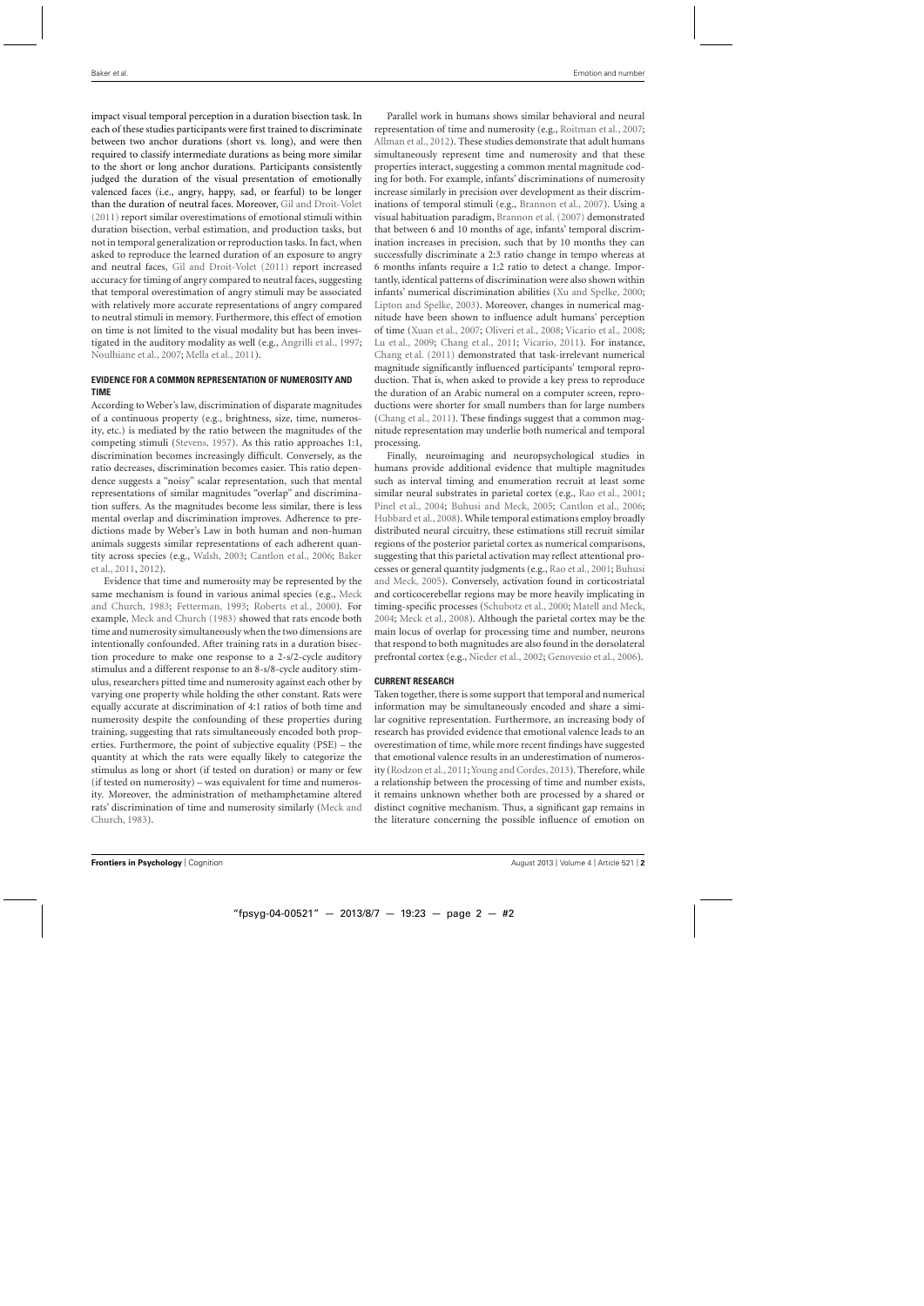impact visual temporal perception in a duration bisection task. In each of these studies participants were first trained to discriminate between two anchor durations (short vs. long), and were then required to classify intermediate durations as being more similar to the short or long anchor durations. Participants consistently judged the duration of the visual presentation of emotionally valenced faces (i.e., angry, happy, sad, or fearful) to be longer than the duration of neutral faces. Moreover, [Gil and Droit-Volet](#page-6-0) [\(2011](#page-6-0)) report similar overestimations of emotional stimuli within duration bisection, verbal estimation, and production tasks, but not in temporal generalization or reproduction tasks. In fact, when asked to reproduce the learned duration of an exposure to angry and neutral faces, [Gil and Droit-Volet](#page-6-0) [\(2011\)](#page-6-0) report increased accuracy for timing of angry compared to neutral faces, suggesting that temporal overestimation of angry stimuli may be associated with relatively more accurate representations of angry compared to neutral stimuli in memory. Furthermore, this effect of emotion on time is not limited to the visual modality but has been investigated in the auditory modality as well (e.g., [Angrilli et al.](#page-5-0), [1997;](#page-5-0) [Noulhiane et al., 2007](#page-6-0); [Mella et al.](#page-6-0), [2011\)](#page-6-0).

# **EVIDENCE FOR A COMMON REPRESENTATION OF NUMEROSITY AND TIME**

According to Weber's law, discrimination of disparate magnitudes of a continuous property (e.g., brightness, size, time, numerosity, etc.) is mediated by the ratio between the magnitudes of the competing stimuli [\(Stevens](#page-6-0), [1957](#page-6-0)). As this ratio approaches 1:1, discrimination becomes increasingly difficult. Conversely, as the ratio decreases, discrimination becomes easier. This ratio dependence suggests a "noisy" scalar representation, such that mental representations of similar magnitudes "overlap" and discrimination suffers. As the magnitudes become less similar, there is less mental overlap and discrimination improves. Adherence to predictions made by Weber's Law in both human and non-human animals suggests similar representations of each adherent quantity across species (e.g., [Walsh](#page-7-0), [2003;](#page-7-0) [Cantlon et al., 2006;](#page-5-0) Baker et al., [2011](#page-5-0), [2012](#page-5-0)).

Evidence that time and numerosity may be represented by the same mech[anism is found in various animal species \(e.g.,](#page-6-0) Meck and Church, [1983](#page-6-0); [Fetterman](#page-6-0), [1993;](#page-6-0) [Roberts et al.](#page-6-0), [2000](#page-6-0)). For example, [Meck and Church](#page-6-0) [\(1983](#page-6-0)) showed that rats encode both time and numerosity simultaneously when the two dimensions are intentionally confounded. After training rats in a duration bisection procedure to make one response to a 2-s/2-cycle auditory stimulus and a different response to an 8-s/8-cycle auditory stimulus, researchers pitted time and numerosity against each other by varying one property while holding the other constant. Rats were equally accurate at discrimination of 4:1 ratios of both time and numerosity despite the confounding of these properties during training, suggesting that rats simultaneously encoded both properties. Furthermore, the point of subjective equality (PSE) – the quantity at which the rats were equally likely to categorize the stimulus as long or short (if tested on duration) or many or few (if tested on numerosity) – was equivalent for time and numerosity. Moreover, the administration of methamphetamine altered rats' di[scrimination of time and numerosity similarly \(](#page-6-0)Meck and Church, [1983](#page-6-0)).

Parallel work in humans shows similar behavioral and neural representation of time and numerosity (e.g., [Roitman et al.](#page-6-0), [2007;](#page-6-0) [Allman et al.](#page-5-0), [2012](#page-5-0)). These studies demonstrate that adult humans simultaneously represent time and numerosity and that these properties interact, suggesting a common mental magnitude coding for both. For example, infants' discriminations of numerosity increase similarly in precision over development as their discriminations of temporal stimuli (e.g., [Brannon et al.](#page-5-0), [2007](#page-5-0)). Using a visual habituation paradigm, [Brannon et al.](#page-5-0) [\(2007\)](#page-5-0) demonstrated that between 6 and 10 months of age, infants' temporal discrimination increases in precision, such that by 10 months they can successfully discriminate a 2:3 ratio change in tempo whereas at 6 months infants require a 1:2 ratio to detect a change. Importantly, identical patterns of discrimination were also shown within infants' numerical discrimination abilities [\(Xu and Spelke, 2000;](#page-7-0) [Lipton and Spelke, 2003\)](#page-6-0). Moreover, changes in numerical magnitude have been shown to influence adult humans' perception of time [\(Xuan et al.](#page-7-0), [2007;](#page-7-0) [Oliveri et al., 2008](#page-6-0); [Vicario et al.](#page-7-0), [2008;](#page-7-0) [Lu et al.](#page-6-0), [2009;](#page-6-0) [Chang et al., 2011](#page-5-0); [Vicario, 2011\)](#page-6-0). For instance, [Chang et al.](#page-5-0) [\(2011](#page-5-0)) demonstrated that task-irrelevant numerical magnitude significantly influenced participants' temporal reproduction. That is, when asked to provide a key press to reproduce the duration of an Arabic numeral on a computer screen, reproductions were shorter for small numbers than for large numbers [\(Chang et al.](#page-5-0), [2011\)](#page-5-0). These findings suggest that a common magnitude representation may underlie both numerical and temporal processing.

Finally, neuroimaging and neuropsychological studies in humans provide additional evidence that multiple magnitudes such as interval timing and enumeration recruit at least some similar neural substrates in parietal cortex (e.g., [Rao et al., 2001;](#page-6-0) [Pinel et al., 2004](#page-6-0); [Buhusi and Meck](#page-5-0), [2005](#page-5-0); [Cantlon et al.](#page-5-0), [2006;](#page-5-0) [Hubbard et al., 2008](#page-6-0)). While temporal estimations employ broadly distributed neural circuitry, these estimations still recruit similar regions of the posterior parietal cortex as numerical comparisons, suggesting that this parietal activation may reflect attentional processes or [general quantity judgments \(e.g.,](#page-5-0) [Rao et al.](#page-6-0), [2001](#page-6-0); Buhusi and Meck, [2005\)](#page-5-0). Conversely, activation found in corticostriatal and corticocerebellar regions may be more heavily implicating in timing-specific processes [\(Schubotz et al., 2000](#page-6-0); [Matell and Meck](#page-6-0), [2004;](#page-6-0) [Meck et al.](#page-6-0), [2008\)](#page-6-0). Although the parietal cortex may be the main locus of overlap for processing time and number, neurons that respond to both magnitudes are also found in the dorsolateral prefrontal cortex (e.g., [Nieder et al., 2002](#page-6-0); [Genovesio et al., 2006\)](#page-6-0).

### **CURRENT RESEARCH**

Taken together, there is some support that temporal and numerical information may be simultaneously encoded and share a similar cognitive representation. Furthermore, an increasing body of research has provided evidence that emotional valence leads to an overestimation of time, while more recent findings have suggested that emotional valence results in an underestimation of numeros-ity [\(Rodzon et al.](#page-6-0), [2011](#page-6-0); [Young and Cordes, 2013](#page-7-0)). Therefore, while a relationship between the processing of time and number exists, it remains unknown whether both are processed by a shared or distinct cognitive mechanism. Thus, a significant gap remains in the literature concerning the possible influence of emotion on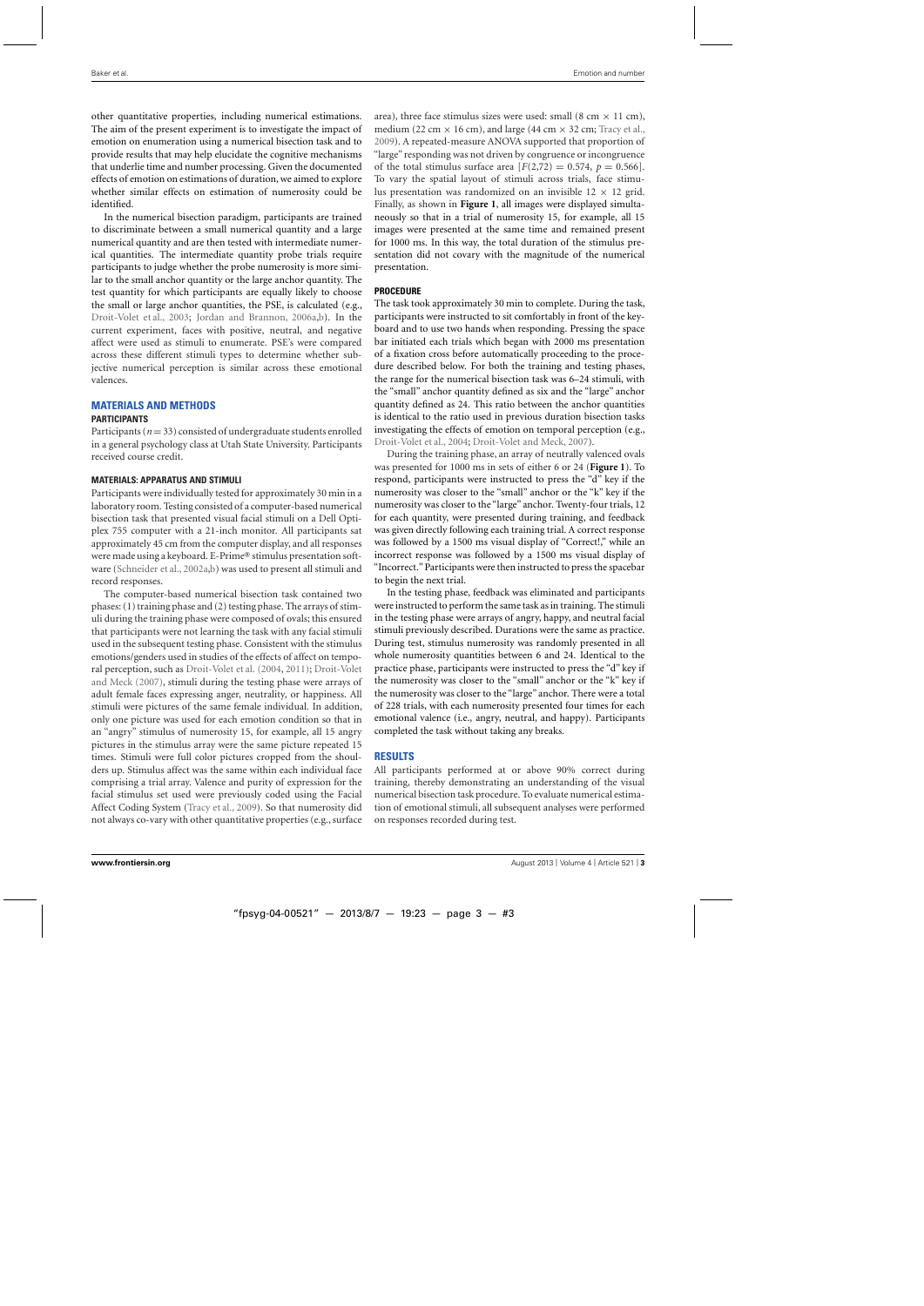other quantitative properties, including numerical estimations. The aim of the present experiment is to investigate the impact of emotion on enumeration using a numerical bisection task and to provide results that may help elucidate the cognitive mechanisms that underlie time and number processing. Given the documented effects of emotion on estimations of duration, we aimed to explore whether similar effects on estimation of numerosity could be identified.

In the numerical bisection paradigm, participants are trained to discriminate between a small numerical quantity and a large numerical quantity and are then tested with intermediate numerical quantities. The intermediate quantity probe trials require participants to judge whether the probe numerosity is more similar to the small anchor quantity or the large anchor quantity. The test quantity for which participants are equally likely to choose the small or large anchor quantities, the PSE, is calculated (e.g., [Droit-Volet et al.](#page-6-0), [2003](#page-6-0); [Jordan and Brannon](#page-6-0), [2006a,b](#page-6-0)). In the current experiment, faces with positive, neutral, and negative affect were used as stimuli to enumerate. PSE's were compared across these different stimuli types to determine whether subjective numerical perception is similar across these emotional valences.

# **MATERIALS AND METHODS**

# **PARTICIPANTS**

Participants (*n*=33) consisted of undergraduate students enrolled in a general psychology class at Utah State University. Participants received course credit.

### **MATERIALS: APPARATUS AND STIMULI**

Participants were individually tested for approximately 30 min in a laboratory room. Testing consisted of a computer-based numerical bisection task that presented visual facial stimuli on a Dell Optiplex 755 computer with a 21-inch monitor. All participants sat approximately 45 cm from the computer display, and all responses were made using a keyboard. E-Prime® stimulus presentation software [\(Schneider et al.](#page-6-0), [2002a,b\)](#page-6-0) was used to present all stimuli and record responses.

The computer-based numerical bisection task contained two phases: (1) training phase and (2) testing phase. The arrays of stimuli during the training phase were composed of ovals; this ensured that participants were not learning the task with any facial stimuli used in the subsequent testing phase. Consistent with the stimulus emotions/genders used in studies of the effects of affect on temporal perception, such as [Droit-Volet et al. \(2004,](#page-6-0) [2011\)](#page-6-0); Droit-Volet and Meck [\(2007](#page-6-0)), stimuli during the testing phase were arrays of adult female faces expressing anger, neutrality, or happiness. All stimuli were pictures of the same female individual. In addition, only one picture was used for each emotion condition so that in an "angry" stimulus of numerosity 15, for example, all 15 angry pictures in the stimulus array were the same picture repeated 15 times. Stimuli were full color pictures cropped from the shoulders up. Stimulus affect was the same within each individual face comprising a trial array. Valence and purity of expression for the facial stimulus set used were previously coded using the Facial Affect Coding System [\(Tracy et al., 2009](#page-6-0)). So that numerosity did not always co-vary with other quantitative properties (e.g., surface area), three face stimulus sizes were used: small  $(8 \text{ cm} \times 11 \text{ cm})$ , medium (22 cm  $\times$  16 cm), and large (44 cm  $\times$  32 cm; [Tracy et al.](#page-6-0), [2009\)](#page-6-0). A repeated-measure ANOVA supported that proportion of "large" responding was not driven by congruence or incongruence of the total stimulus surface area  $[F(2,72) = 0.574, p = 0.566]$ . To vary the spatial layout of stimuli across trials, face stimulus presentation was randomized on an invisible  $12 \times 12$  grid. Finally, as shown in **[Figure 1](#page-3-0)**, all images were displayed simultaneously so that in a trial of numerosity 15, for example, all 15 images were presented at the same time and remained present for 1000 ms. In this way, the total duration of the stimulus presentation did not covary with the magnitude of the numerical presentation.

### **PROCEDURE**

The task took approximately 30 min to complete. During the task, participants were instructed to sit comfortably in front of the keyboard and to use two hands when responding. Pressing the space bar initiated each trials which began with 2000 ms presentation of a fixation cross before automatically proceeding to the procedure described below. For both the training and testing phases, the range for the numerical bisection task was 6–24 stimuli, with the "small" anchor quantity defined as six and the "large" anchor quantity defined as 24. This ratio between the anchor quantities is identical to the ratio used in previous duration bisection tasks investigating the effects of emotion on temporal perception (e.g., [Droit-Volet et al.](#page-6-0), [2004;](#page-6-0) [Droit-Volet and Meck, 2007](#page-6-0)).

During the training phase, an array of neutrally valenced ovals was presented for 1000 ms in sets of either 6 or 24 (**[Figure 1](#page-3-0)**). To respond, participants were instructed to press the "d" key if the numerosity was closer to the "small" anchor or the "k" key if the numerosity was closer to the "large" anchor. Twenty-four trials, 12 for each quantity, were presented during training, and feedback was given directly following each training trial. A correct response was followed by a 1500 ms visual display of "Correct!," while an incorrect response was followed by a 1500 ms visual display of "Incorrect." Participants were then instructed to press the spacebar to begin the next trial.

In the testing phase, feedback was eliminated and participants were instructed to perform the same task as in training. The stimuli in the testing phase were arrays of angry, happy, and neutral facial stimuli previously described. Durations were the same as practice. During test, stimulus numerosity was randomly presented in all whole numerosity quantities between 6 and 24. Identical to the practice phase, participants were instructed to press the "d" key if the numerosity was closer to the "small" anchor or the "k" key if the numerosity was closer to the "large" anchor. There were a total of 228 trials, with each numerosity presented four times for each emotional valence (i.e., angry, neutral, and happy). Participants completed the task without taking any breaks.

## **RESULTS**

All participants performed at or above 90% correct during training, thereby demonstrating an understanding of the visual numerical bisection task procedure. To evaluate numerical estimation of emotional stimuli, all subsequent analyses were performed on responses recorded during test.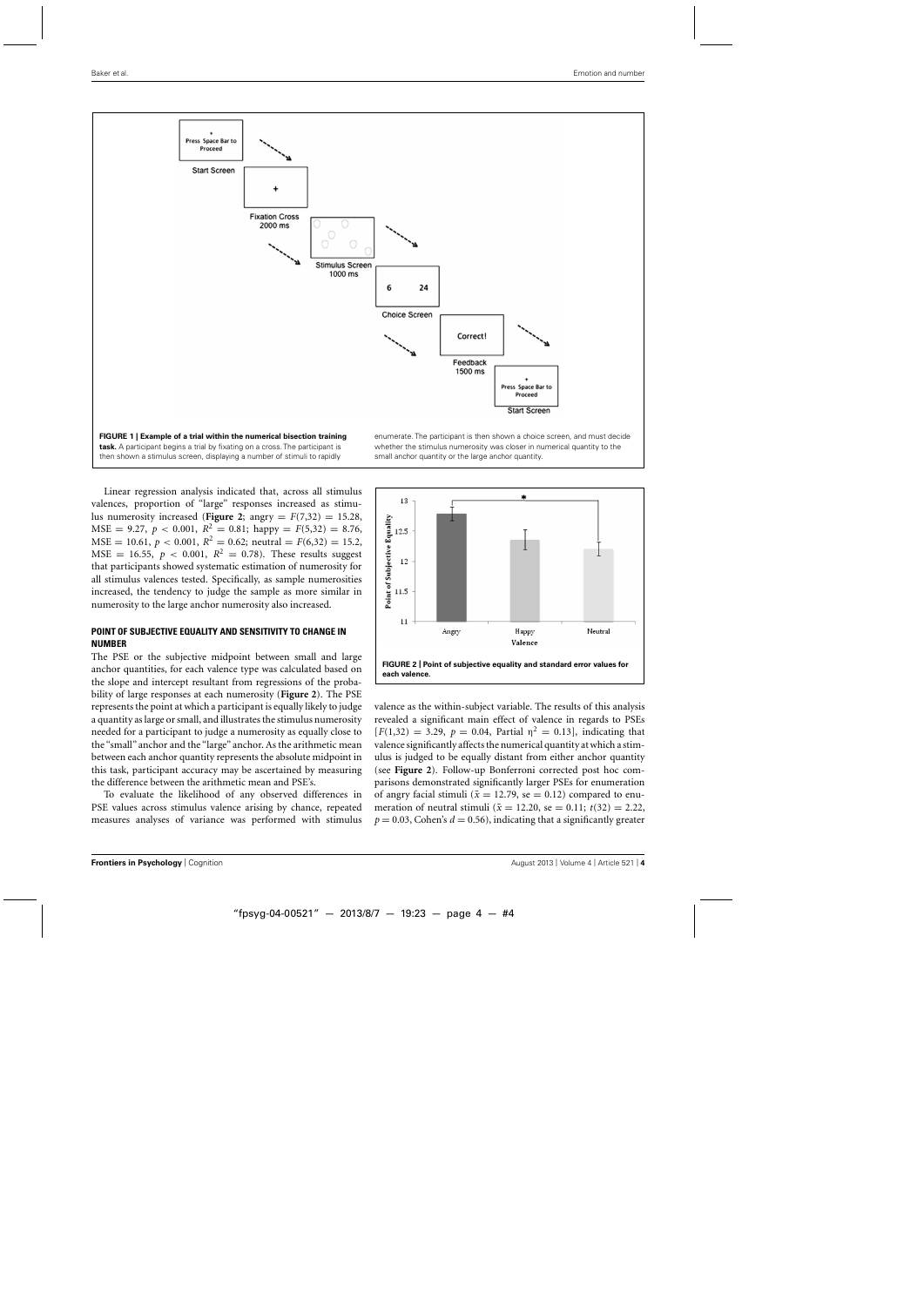<span id="page-3-0"></span>

**task.** A participant begins a trial by fixating on a cross. The participant is then shown a stimulus screen, displaying a number of stimuli to rapidly

Linear regression analysis indicated that, across all stimulus valences, proportion of "large" responses increased as stimulus numerosity increased (**Figure 2**; angry =  $F(7,32) = 15.28$ ,  $MSE = 9.27, p < 0.001, R<sup>2</sup> = 0.81; happy = F(5,32) = 8.76,$  $MSE = 10.61, p < 0.001, R<sup>2</sup> = 0.62$ ; neutral =  $F(6,32) = 15.2$ ,  $MSE = 16.55$ ,  $p < 0.001$ ,  $R^2 = 0.78$ ). These results suggest that participants showed systematic estimation of numerosity for all stimulus valences tested. Specifically, as sample numerosities increased, the tendency to judge the sample as more similar in numerosity to the large anchor numerosity also increased.

## **POINT OF SUBJECTIVE EQUALITY AND SENSITIVITY TO CHANGE IN NUMBER**

The PSE or the subjective midpoint between small and large anchor quantities, for each valence type was calculated based on the slope and intercept resultant from regressions of the probability of large responses at each numerosity (**Figure 2**). The PSE represents the point at which a participant is equally likely to judge a quantity as large or small, and illustrates the stimulus numerosity needed for a participant to judge a numerosity as equally close to the "small" anchor and the "large" anchor. As the arithmetic mean between each anchor quantity represents the absolute midpoint in this task, participant accuracy may be ascertained by measuring the difference between the arithmetic mean and PSE's.

To evaluate the likelihood of any observed differences in PSE values across stimulus valence arising by chance, repeated measures analyses of variance was performed with stimulus enumerate. The participant is then shown a choice screen, and must decide whether the stimulus numerosity was closer in numerical quantity to the small anchor quantity or the large anchor quantity.



valence as the within-subject variable. The results of this analysis revealed a significant main effect of valence in regards to PSEs  $[F(1,32) = 3.29, p = 0.04, Partial \space p^2 = 0.13]$ , indicating that valence significantly affects the numerical quantity at which a stimulus is judged to be equally distant from either anchor quantity (see **Figure 2**). Follow-up Bonferroni corrected post hoc comparisons demonstrated significantly larger PSEs for enumeration of angry facial stimuli ( $\bar{x}$  = 12.79, se = 0.12) compared to enumeration of neutral stimuli ( $\bar{x}$  = 12.20, se = 0.11; *t*(32) = 2.22,  $p = 0.03$ , Cohen's  $d = 0.56$ ), indicating that a significantly greater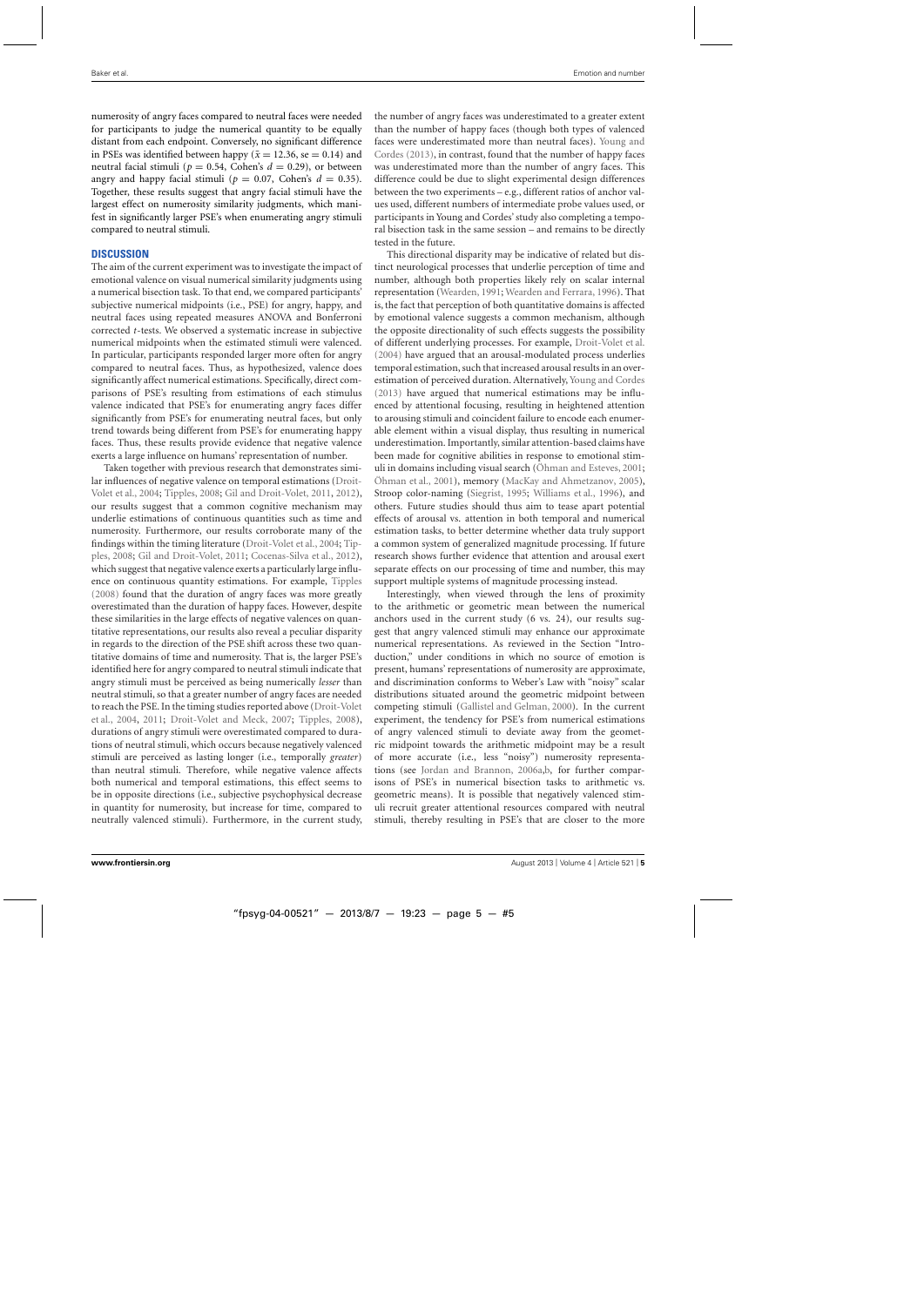numerosity of angry faces compared to neutral faces were needed for participants to judge the numerical quantity to be equally distant from each endpoint. Conversely, no significant difference in PSEs was identified between happy ( $\bar{x}$  = 12.36, se = 0.14) and neutral facial stimuli ( $p = 0.54$ , Cohen's  $d = 0.29$ ), or between angry and happy facial stimuli ( $p = 0.07$ , Cohen's  $d = 0.35$ ). Together, these results suggest that angry facial stimuli have the largest effect on numerosity similarity judgments, which manifest in significantly larger PSE's when enumerating angry stimuli compared to neutral stimuli.

# **DISCUSSION**

The aim of the current experiment was to investigate the impact of emotional valence on visual numerical similarity judgments using a numerical bisection task. To that end, we compared participants' subjective numerical midpoints (i.e., PSE) for angry, happy, and neutral faces using repeated measures ANOVA and Bonferroni corrected *t*-tests. We observed a systematic increase in subjective numerical midpoints when the estimated stimuli were valenced. In particular, participants responded larger more often for angry compared to neutral faces. Thus, as hypothesized, valence does significantly affect numerical estimations. Specifically, direct comparisons of PSE's resulting from estimations of each stimulus valence indicated that PSE's for enumerating angry faces differ significantly from PSE's for enumerating neutral faces, but only trend towards being different from PSE's for enumerating happy faces. Thus, these results provide evidence that negative valence exerts a large influence on humans' representation of number.

Taken together with previous research that demonstrates similar influen[ces of negative valence on temporal estimations \(](#page-6-0)Droit-Volet et al., [2004](#page-6-0); [Tipples, 2008](#page-6-0); [Gil and Droit-Volet](#page-6-0), [2011,](#page-6-0) [2012\)](#page-6-0), our results suggest that a common cognitive mechanism may underlie estimations of continuous quantities such as time and numerosity. Furthermore, our results corroborate many of the fin[dings within the timing literature \(Droit-Volet et al., 2004;](#page-6-0) Tipples, [2008](#page-6-0); [Gil and Droit-Volet, 2011;](#page-6-0) [Cocenas-Silva et al., 2012\)](#page-5-0), which suggest that negative valence exerts a particularly large influence on continuous quantity estimations. For example, [Tipples](#page-6-0) [\(2008](#page-6-0)) found that the duration of angry faces was more greatly overestimated than the duration of happy faces. However, despite these similarities in the large effects of negative valences on quantitative representations, our results also reveal a peculiar disparity in regards to the direction of the PSE shift across these two quantitative domains of time and numerosity. That is, the larger PSE's identified here for angry compared to neutral stimuli indicate that angry stimuli must be perceived as being numerically *lesser* than neutral stimuli, so that a greater number of angry faces are needed to re[ach the PSE. In the timing studies reported above \(](#page-6-0)Droit-Volet et al., [2004,](#page-6-0) [2011;](#page-6-0) [Droit-Volet and Meck, 2007;](#page-6-0) [Tipples, 2008\)](#page-6-0), durations of angry stimuli were overestimated compared to durations of neutral stimuli, which occurs because negatively valenced stimuli are perceived as lasting longer (i.e., temporally *greater*) than neutral stimuli. Therefore, while negative valence affects both numerical and temporal estimations, this effect seems to be in opposite directions (i.e., subjective psychophysical decrease in quantity for numerosity, but increase for time, compared to neutrally valenced stimuli). Furthermore, in the current study, the number of angry faces was underestimated to a greater extent than the number of happy faces (though both types of valenced faces [were](#page-7-0) [underestimated](#page-7-0) [more](#page-7-0) [than](#page-7-0) [neutral](#page-7-0) [faces\).](#page-7-0) Young and Cordes [\(2013](#page-7-0)), in contrast, found that the number of happy faces was underestimated more than the number of angry faces. This difference could be due to slight experimental design differences between the two experiments – e.g., different ratios of anchor values used, different numbers of intermediate probe values used, or participants in Young and Cordes' study also completing a temporal bisection task in the same session – and remains to be directly tested in the future.

This directional disparity may be indicative of related but distinct neurological processes that underlie perception of time and number, although both properties likely rely on scalar internal representation [\(Wearden, 1991;](#page-7-0) [Wearden and Ferrara](#page-7-0), [1996](#page-7-0)). That is, the fact that perception of both quantitative domains is affected by emotional valence suggests a common mechanism, although the opposite directionality of such effects suggests the possibility of different underlying processes. For example, [Droit-Volet et al.](#page-6-0) [\(2004](#page-6-0)) have argued that an arousal-modulated process underlies temporal estimation, such that increased arousal results in an over-estimation of perceived duration. Alternatively, [Young and Cordes](#page-7-0) [\(2013](#page-7-0)) have argued that numerical estimations may be influenced by attentional focusing, resulting in heightened attention to arousing stimuli and coincident failure to encode each enumerable element within a visual display, thus resulting in numerical underestimation. Importantly, similar attention-based claims have been made for cognitive abilities in response to emotional stimuli in domains including visual search [\(Öhman and Esteves, 2001;](#page-6-0) [Öhman et al., 2001\)](#page-6-0), memory [\(MacKay and Ahmetzanov, 2005\)](#page-6-0), Stroop color-naming [\(Siegrist, 1995](#page-6-0); [Williams et al., 1996](#page-7-0)), and others. Future studies should thus aim to tease apart potential effects of arousal vs. attention in both temporal and numerical estimation tasks, to better determine whether data truly support a common system of generalized magnitude processing. If future research shows further evidence that attention and arousal exert separate effects on our processing of time and number, this may support multiple systems of magnitude processing instead.

Interestingly, when viewed through the lens of proximity to the arithmetic or geometric mean between the numerical anchors used in the current study (6 vs. 24), our results suggest that angry valenced stimuli may enhance our approximate numerical representations. As reviewed in the Section "Introduction," under conditions in which no source of emotion is present, humans' representations of numerosity are approximate, and discrimination conforms to Weber's Law with "noisy" scalar distributions situated around the geometric midpoint between competing stimuli [\(Gallistel and Gelman](#page-6-0), [2000\)](#page-6-0). In the current experiment, the tendency for PSE's from numerical estimations of angry valenced stimuli to deviate away from the geometric midpoint towards the arithmetic midpoint may be a result of more accurate (i.e., less "noisy") numerosity representations (see [Jordan and Brannon, 2006a,b](#page-6-0), for further comparisons of PSE's in numerical bisection tasks to arithmetic vs. geometric means). It is possible that negatively valenced stimuli recruit greater attentional resources compared with neutral stimuli, thereby resulting in PSE's that are closer to the more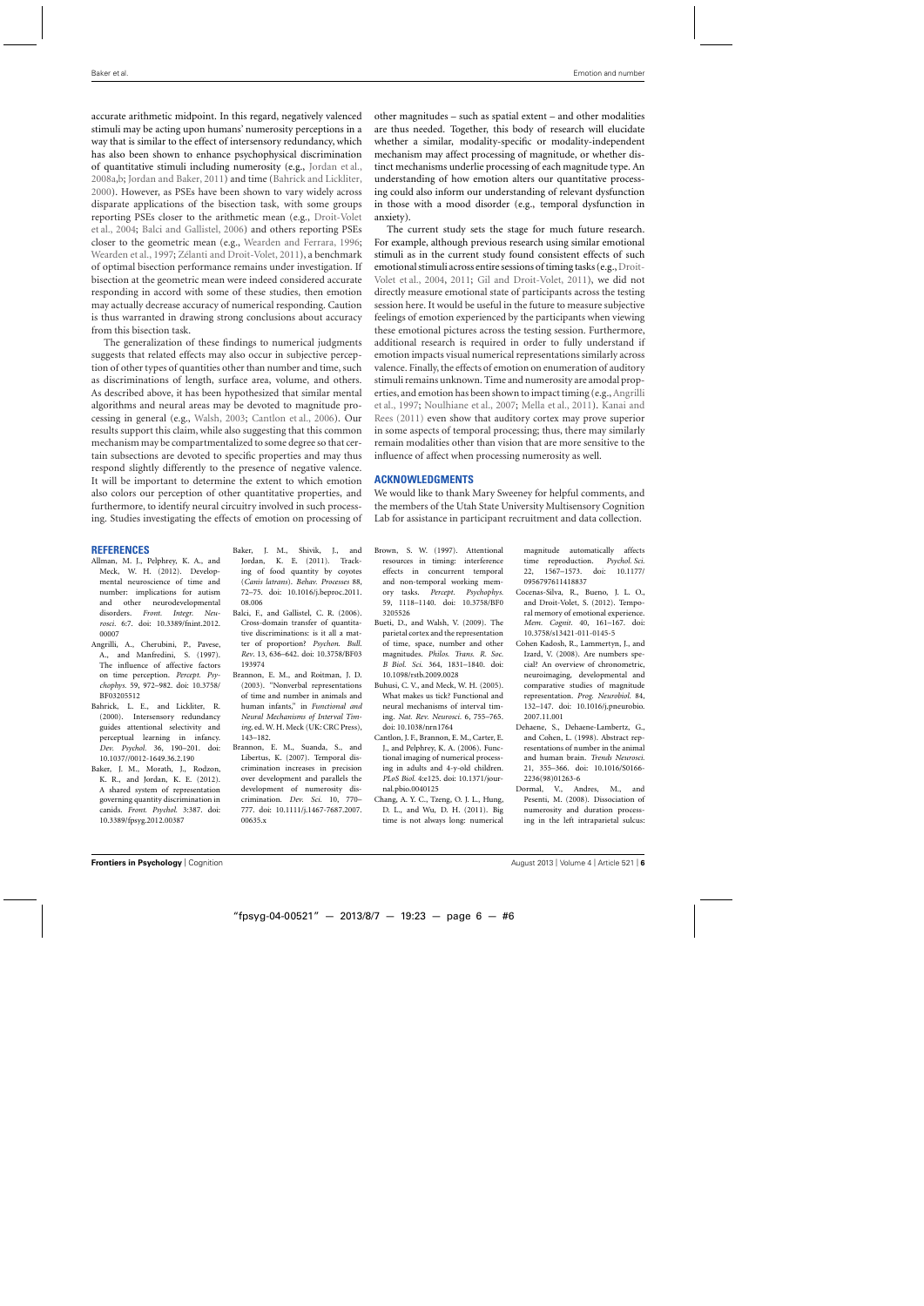<span id="page-5-0"></span>accurate arithmetic midpoint. In this regard, negatively valenced stimuli may be acting upon humans' numerosity perceptions in a way that is similar to the effect of intersensory redundancy, which has also been shown to enhance psychophysical discrimination of quantitative stimuli including numerosity (e.g., [Jordan et al.](#page-6-0), [2008a,b;](#page-6-0) [Jordan and Baker](#page-6-0), [2011](#page-6-0)) and time (Bahrick and Lickliter, 2000). However, as PSEs have been shown to vary widely across disparate applications of the bisection task, with some groups repo[rting PSEs closer to the arithmetic mean \(e.g.,](#page-6-0) Droit-Volet et al., [2004;](#page-6-0) Balci and Gallistel, 2006) and others reporting PSEs closer to the geometric mean (e.g., [Wearden and Ferrara](#page-7-0), [1996;](#page-7-0) [Wearden et al.](#page-7-0), [1997](#page-7-0); [Zélanti and Droit-Volet](#page-7-0), [2011](#page-7-0)), a benchmark of optimal bisection performance remains under investigation. If bisection at the geometric mean were indeed considered accurate responding in accord with some of these studies, then emotion may actually decrease accuracy of numerical responding. Caution is thus warranted in drawing strong conclusions about accuracy from this bisection task.

The generalization of these findings to numerical judgments suggests that related effects may also occur in subjective perception of other types of quantities other than number and time, such as discriminations of length, surface area, volume, and others. As described above, it has been hypothesized that similar mental algorithms and neural areas may be devoted to magnitude processing in general (e.g., [Walsh](#page-7-0), [2003;](#page-7-0) Cantlon et al., 2006). Our results support this claim, while also suggesting that this common mechanism may be compartmentalized to some degree so that certain subsections are devoted to specific properties and may thus respond slightly differently to the presence of negative valence. It will be important to determine the extent to which emotion also colors our perception of other quantitative properties, and furthermore, to identify neural circuitry involved in such processing. Studies investigating the effects of emotion on processing of

#### **REFERENCES**

- Allman, M. J., Pelphrey, K. A., and Meck, W. H. (2012). Developmental neuroscience of time and number: implications for autism and other neurodevelopmental disorders. *Front. Integr. Neurosci.* 6:7. doi: 10.3389/fnint.2012. 00007
- Angrilli, A., Cherubini, P., Pavese, A., and Manfredini, S. (1997). The influence of affective factors on time perception. *Percept. Psychophys.* 59, 972–982. doi: 10.3758/ BF03205512
- Bahrick, L. E., and Lickliter, R. (2000). Intersensory redundancy guides attentional selectivity and perceptual learning in infancy. *Dev. Psychol.* 36, 190–201. doi: 10.1037//0012-1649.36.2.190
- Baker, J. M., Morath, J., Rodzon, K. R., and Jordan, K. E. (2012). A shared system of representation governing quantity discrimination in canids. *Front. Psychol.* 3:387. doi: 10.3389/fpsyg.2012.00387
- Baker, J. M., Shivik, J., and Jordan, K. E. (2011). Tracking of food quantity by coyotes (*Canis latrans*). *Behav. Processes* 88, 72–75. doi: 10.1016/j.beproc.2011. 08.006
- Balci, F., and Gallistel, C. R. (2006). Cross-domain transfer of quantitative discriminations: is it all a matter of proportion? *Psychon. Bull. Rev*. 13, 636–642. doi: 10.3758/BF03 193974
- Brannon, E. M., and Roitman, J. D. (2003). "Nonverbal representations of time and number in animals and human infants," in *Functional and Neural Mechanisms of Interval Timing,* ed. W. H. Meck (UK: CRC Press), 143–182.
- Brannon, E. M., Suanda, S., and Libertus, K. (2007). Temporal discrimination increases in precision over development and parallels the development of numerosity discrimination. *Dev. Sci.* 10, 770– 777. doi: 10.1111/j.1467-7687.2007. 00635.x

other magnitudes – such as spatial extent – and other modalities are thus needed. Together, this body of research will elucidate whether a similar, modality-specific or modality-independent mechanism may affect processing of magnitude, or whether distinct mechanisms underlie processing of each magnitude type. An understanding of how emotion alters our quantitative processing could also inform our understanding of relevant dysfunction in those with a mood disorder (e.g., temporal dysfunction in anxiety).

The current study sets the stage for much future research. For example, although previous research using similar emotional stimuli as in the current study found consistent effects of such emotional [stimuli across entire sessions of timing tasks \(e.g.,](#page-6-0) Droit-Volet et al., [2004](#page-6-0), [2011](#page-6-0); [Gil and Droit-Volet, 2011\)](#page-6-0), we did not directly measure emotional state of participants across the testing session here. It would be useful in the future to measure subjective feelings of emotion experienced by the participants when viewing these emotional pictures across the testing session. Furthermore, additional research is required in order to fully understand if emotion impacts visual numerical representations similarly across valence. Finally, the effects of emotion on enumeration of auditory stimuli remains unknown. Time and numerosity are amodal properties, and emotion has been shown to impact timing (e.g.,Angrilli et al., 1997; [Noulhiane et al., 2007;](#page-6-0) [Mella et al., 2011\)](#page-6-0). Kanai and Rees [\(2011](#page-6-0)) even show that auditory cortex may prove superior in some aspects of temporal processing; thus, there may similarly remain modalities other than vision that are more sensitive to the influence of affect when processing numerosity as well.

### **ACKNOWLEDGMENTS**

We would like to thank Mary Sweeney for helpful comments, and the members of the Utah State University Multisensory Cognition Lab for assistance in participant recruitment and data collection.

- Brown, S. W. (1997). Attentional resources in timing: interference effects in concurrent temporal and non-temporal working memory tasks. *Percept. Psychophys.* 59, 1118–1140. doi: 10.3758/BF0 3205526
- Bueti, D., and Walsh, V. (2009). The parietal cortex and the representation of time, space, number and other magnitudes. *Philos. Trans. R. Soc. B Biol. Sci.* 364, 1831–1840. doi: 10.1098/rstb.2009.0028
- Buhusi, C. V., and Meck, W. H. (2005). What makes us tick? Functional and neural mechanisms of interval timing. *Nat. Rev. Neurosci.* 6, 755–765. doi: 10.1038/nrn1764
- Cantlon, J. F., Brannon, E. M., Carter, E. J., and Pelphrey, K. A. (2006). Functional imaging of numerical processing in adults and 4-y-old children. *PLoS Biol.* 4:e125. doi: 10.1371/journal.pbio.0040125
- Chang, A. Y. C., Tzeng, O. J. L., Hung, D. L., and Wu, D. H. (2011). Big time is not always long: numerical

magnitude automatically affects time reproduction. *Psychol. Sci.* 22, 1567–1573. doi: 10.1177/ 0956797611418837

- Cocenas-Silva, R., Bueno, J. L. O., and Droit-Volet, S. (2012). Temporal memory of emotional experience. *Mem. Cognit.* 40, 161–167. doi: 10.3758/s13421-011-0145-5
- Cohen Kadosh, R., Lammertyn, J., and Izard, V. (2008). Are numbers special? An overview of chronometric, neuroimaging, developmental and comparative studies of magnitude representation. *Prog. Neurobiol.* 84, 132–147. doi: 10.1016/j.pneurobio. 2007.11.001
- Dehaene, S., Dehaene-Lambertz, G., and Cohen, L. (1998). Abstract representations of number in the animal and human brain. *Trends Neurosci.* 21, 355–366. doi: 10.1016/S0166- 2236(98)01263-6
- Dormal, V., Andres, M., and Pesenti, M. (2008). Dissociation of numerosity and duration processing in the left intraparietal sulcus: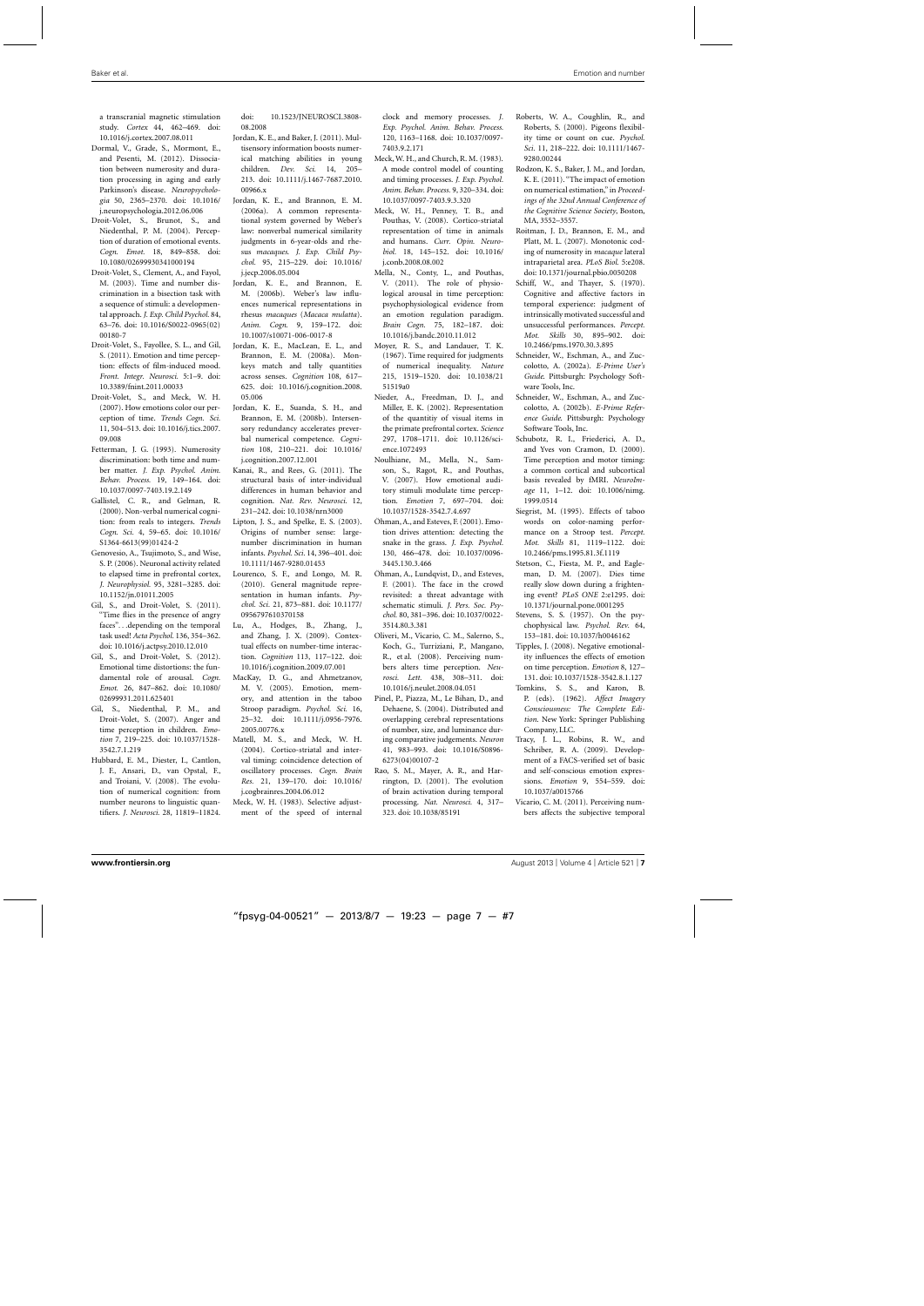<span id="page-6-0"></span>a transcranial magnetic stimulation study. *Cortex* 44, 462–469. doi: 10.1016/j.cortex.2007.08.011

- Dormal, V., Grade, S., Mormont, E., and Pesenti, M. (2012). Dissociation between numerosity and duration processing in aging and early Parkinson's disease. *Neuropsychologia* 50, 2365–2370. doi: 10.1016/ j.neuropsychologia.2012.06.006
- Droit-Volet, S., Brunot, S., and Niedenthal, P. M. (2004). Perception of duration of emotional events. *Cogn. Emot.* 18, 849–858. doi: 10.1080/02699930341000194
- Droit-Volet, S., Clement, A., and Fayol, M. (2003). Time and number discrimination in a bisection task with a sequence of stimuli: a developmental approach. *J. Exp. Child Psychol.* 84, 63–76. doi: 10.1016/S0022-0965(02) 00180-7
- Droit-Volet, S., Fayollee, S. L., and Gil, S. (2011). Emotion and time perception: effects of film-induced mood. *Front. Integr. Neurosci.* 5:1–9. doi: 10.3389/fnint.2011.00033
- Droit-Volet, S., and Meck, W. H. (2007). How emotions color our perception of time. *Trends Cogn. Sci.* 11, 504–513. doi: 10.1016/j.tics.2007. 09.008
- Fetterman, J. G. (1993). Numerosity discrimination: both time and number matter. *J. Exp. Psychol. Anim. Behav. Process.* 19, 149–164. doi: 10.1037/0097-7403.19.2.149
- Gallistel, C. R., and Gelman, R. (2000). Non-verbal numerical cognition: from reals to integers. *Trends Cogn. Sci.* 4, 59–65. doi: 10.1016/ S1364-6613(99)01424-2
- Genovesio, A., Tsujimoto, S., and Wise, S. P. (2006). Neuronal activity related to elapsed time in prefrontal cortex, *J. Neurophysiol.* 95, 3281–3285. doi: 10.1152/jn.01011.2005
- Gil, S., and Droit-Volet, S. (2011). "Time flies in the presence of angry faces"...depending on the temporal task used! *Acta Psychol.* 136, 354–362. doi: 10.1016/j.actpsy.2010.12.010
- Gil, S., and Droit-Volet, S. (2012). Emotional time distortions: the fundamental role of arousal. *Cogn. Emot.* 26, 847–862. doi: 10.1080/ 02699931.2011.625401
- Gil, S., Niedenthal, P. M., and Droit-Volet, S. (2007). Anger and time perception in children. *Emotion* 7, 219–225. doi: 10.1037/1528- 3542.7.1.219
- Hubbard, E. M., Diester, I., Cantlon, J. F., Ansari, D., van Opstal, F., and Troiani, V. (2008). The evolution of numerical cognition: from number neurons to linguistic quantifiers. *J. Neurosci.* 28, 11819–11824.

doi: 10.1523/JNEUROSCI.3808- 08.2008

- Jordan, K. E., and Baker, J. (2011). Multisensory information boosts numerical matching abilities in young children. *Dev. Sci.* 14, 205– 213. doi: 10.1111/j.1467-7687.2010. 00966.x
- Jordan, K. E., and Brannon, E. M. (2006a). A common representational system governed by Weber's law: nonverbal numerical similarity judgments in 6-year-olds and rhesus *macaques*. *J. Exp. Child Psychol.* 95, 215–229. doi: 10.1016/ j.jecp.2006.05.004
- Jordan, K. E., and Brannon, E. M. (2006b). Weber's law influences numerical representations in rhesus *macaques* (*Macaca mulatta*). *Anim. Cogn.* 9, 159–172. doi: 10.1007/s10071-006-0017-8
- Jordan, K. E., MacLean, E. L., and Brannon, E. M. (2008a). Monkeys match and tally quantities across senses. *Cognition* 108, 617– 625. doi: 10.1016/j.cognition.2008. 05.006
- Jordan, K. E., Suanda, S. H., and Brannon, E. M. (2008b). Intersensory redundancy accelerates preverbal numerical competence. *Cognition* 108, 210–221. doi: 10.1016/ j.cognition.2007.12.001
- Kanai, R., and Rees, G. (2011). The structural basis of inter-individual differences in human behavior and cognition. *Nat. Rev. Neurosci.* 12, 231–242. doi: 10.1038/nrn3000
- Lipton, J. S., and Spelke, E. S. (2003). Origins of number sense: largenumber discrimination in human infants. *Psychol. Sci.* 14, 396–401. doi: 10.1111/1467-9280.01453
- Lourenco, S. F., and Longo, M. R. (2010). General magnitude representation in human infants. *Psychol. Sci.* 21, 873–881. doi: 10.1177/ 0956797610370158
- Lu, A., Hodges, B., Zhang, J., and Zhang, J. X. (2009). Contextual effects on number-time interaction. *Cognition* 113, 117–122. doi: 10.1016/j.cognition.2009.07.001
- MacKay, D. G., and Ahmetzanov, M. V. (2005). Emotion, memory, and attention in the taboo Stroop paradigm. *Psychol. Sci.* 16, 25–32. doi: 10.1111/j.0956-7976. 2005.00776.x
- Matell, M. S., and Meck, W. H. (2004). Cortico-striatal and interval timing: coincidence detection of oscillatory processes. *Cogn. Brain Res.* 21, 139–170. doi: 10.1016/ j.cogbrainres.2004.06.012
- Meck, W. H. (1983). Selective adjustment of the speed of internal

clock and memory processes. *J. Exp. Psychol. Anim. Behav. Process.* 120, 1163–1168. doi: 10.1037/0097- 7403.9.2.171

- Meck, W. H., and Church, R. M. (1983). A mode control model of counting and timing processes. *J. Exp. Psychol. Anim. Behav. Process.* 9, 320–334. doi: 10.1037/0097-7403.9.3.320
- Meck, W. H., Penney, T. B., and Pouthas, V. (2008). Cortico-striatal representation of time in animals and humans. *Curr. Opin. Neurobiol.* 18, 145–152. doi: 10.1016/ j.conb.2008.08.002
- Mella, N., Conty, L., and Pouthas, V. (2011). The role of physiological arousal in time perception: psychophysiological evidence from an emotion regulation paradigm. *Brain Cogn.* 75, 182–187. doi: 10.1016/j.bandc.2010.11.012
- Moyer, R. S., and Landauer, T. K. (1967). Time required for judgments of numerical inequality. *Nature* 215, 1519–1520. doi: 10.1038/21 51519a0
- Nieder, A., Freedman, D. J., and Miller, E. K. (2002). Representation of the quantitiy of visual items in the primate prefrontal cortex. *Science* 297, 1708–1711. doi: 10.1126/science.1072493
- Noulhiane, M., Mella, N., Samson, S., Ragot, R., and Pouthas, V. (2007). How emotional auditory stimuli modulate time perception. *Emotion* 7, 697–704. doi: 10.1037/1528-3542.7.4.697
- Öhman,A., and Esteves, F. (2001). Emotion drives attention: detecting the snake in the grass. *J. Exp. Psychol.* 130, 466–478. doi: 10.1037/0096- 3445.130.3.466
- Öhman, A., Lundqvist, D., and Esteves, F. (2001). The face in the crowd revisited: a threat advantage with schematic stimuli. *J. Pers. Soc. Psychol.* 80, 381–396. doi: 10.1037/0022- 3514.80.3.381
- Oliveri, M., Vicario, C. M., Salerno, S., Koch, G., Turriziani, P., Mangano, R., et al. (2008). Perceiving numbers alters time perception. *Neurosci. Lett.* 438, 308–311. doi: 10.1016/j.neulet.2008.04.051
- Pinel, P., Piazza, M., Le Bihan, D., and Dehaene, S. (2004). Distributed and overlapping cerebral representations of number, size, and luminance during comparative judgements. *Neuron* 41, 983–993. doi: 10.1016/S0896- 6273(04)00107-2
- Rao, S. M., Mayer, A. R., and Harrington, D. (2001). The evolution of brain activation during temporal processing. *Nat. Neurosci.* 4, 317– 323. doi: 10.1038/85191
- Roberts, W. A., Coughlin, R., and Roberts, S. (2000). Pigeons flexibility time or count on cue. *Psychol. Sci.* 11, 218–222. doi: 10.1111/1467- 9280.00244
- Rodzon, K. S., Baker, J. M., and Jordan, K. E. (2011). "The impact of emotion on numerical estimation," in *Proceedings of the 32nd Annual Conference of the Cognitive Science Society*, Boston, MA, 3552–3557.
- Roitman, J. D., Brannon, E. M., and Platt, M. L. (2007). Monotonic coding of numerosity in *macaque* lateral intraparietal area. *PLoS Biol.* 5:e208. doi: 10.1371/journal.pbio.0050208
- Schiff, W., and Thayer, S. (1970). Cognitive and affective factors in temporal experience: judgment of intrinsically motivated successful and unsuccessful performances. *Percept. Mot. Skills* 30, 895–902. doi: 10.2466/pms.1970.30.3.895
- Schneider, W., Eschman, A., and Zuccolotto, A. (2002a). *E-Prime User's Guide*. Pittsburgh: Psychology Software Tools, Inc.
- Schneider, W., Eschman, A., and Zuccolotto, A. (2002b). *E-Prime Reference Guide*. Pittsburgh: Psychology Software Tools, Inc.
- Schubotz, R. I., Friederici, A. D., and Yves von Cramon, D. (2000). Time perception and motor timing: a common cortical and subcortical basis revealed by fMRI. *NeuroImage* 11, 1–12. doi: 10.1006/nimg. 1999.0514
- Siegrist, M. (1995). Effects of taboo words on color-naming performance on a Stroop test. *Percept. Mot. Skills* 81, 1119–1122. doi: 10.2466/pms.1995.81.3f.1119
- Stetson, C., Fiesta, M. P., and Eagleman, D. M. (2007). Dies time really slow down during a frightening event? *PLoS ONE* 2:e1295. doi: 10.1371/journal.pone.0001295
- Stevens, S. S. (1957). On the psychophysical law. *Psychol. Rev.* 64, 153–181. doi: 10.1037/h0046162
- Tipples, J. (2008). Negative emotionality influences the effects of emotion on time perception. *Emotion* 8, 127– 131. doi: 10.1037/1528-3542.8.1.127
- Tomkins, S. S., and Karon, B. P. (eds). (1962). *Affect Imagery Consciousness: The Complete Edition*. New York: Springer Publishing Company, LLC.
- Tracy, J. L., Robins, R. W., and Schriber, R. A. (2009). Development of a FACS-verified set of basic and self-conscious emotion expressions. *Emotion* 9, 554–559. doi: 10.1037/a0015766
- Vicario, C. M. (2011). Perceiving numbers affects the subjective temporal